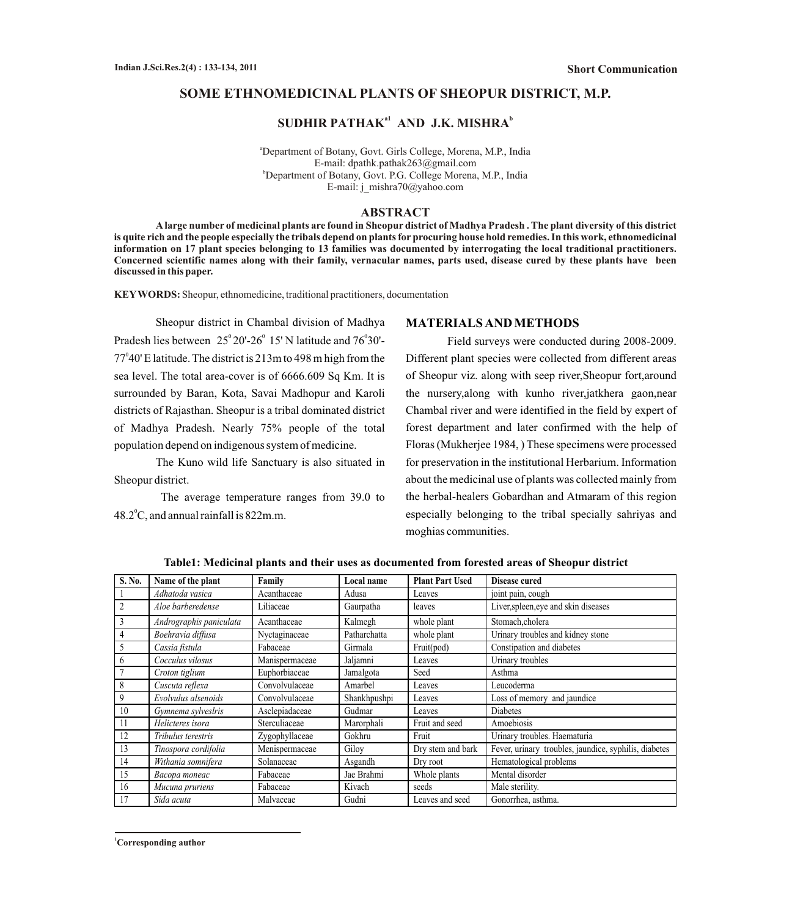## **SOME ETHNOMEDICINAL PLANTS OF SHEOPUR DISTRICT, M.P.**

# $\mathbf{S} \mathbf{U} \mathbf{D} \mathbf{H} \mathbf{I} \mathbf{R} \mathbf{P} \mathbf{A}^{\mathsf{T}} \mathbf{A} \mathbf{K} \mathbf{A}^{\mathsf{H}} \mathbf{A} \mathbf{D} \mathbf{I} \mathbf{I} \mathbf{K} \mathbf{A} \mathbf{B} \mathbf{A}^{\mathsf{H}} \mathbf{A}^{\mathsf{H}}$

<sup>a</sup>Department of Botany, Govt. Girls College, Morena, M.P., India E-mail: dpathk.pathak263@gmail.com <sup>b</sup>Department of Botany, Govt. P.G. College Morena, M.P., India E-mail: j\_mishra70@yahoo.com

#### **ABSTRACT**

**Alarge number of medicinal plants are found in Sheopur district of Madhya Pradesh . The plant diversity of this district is quite rich and the people especially the tribals depend on plants for procuring house hold remedies. In this work, ethnomedicinal information on 17 plant species belonging to 13 families was documented by interrogating the local traditional practitioners. Concerned scientific names along with their family, vernacular names, parts used, disease cured by these plants have been discussed in this paper.**

**KEYWORDS:** Sheopur, ethnomedicine, traditional practitioners, documentation

Sheopur district in Chambal division of Madhya Pradesh lies between  $25^{\circ}20'$ -26<sup>°</sup> 15' N latitude and 76<sup>°</sup>30'-77°40' E latitude. The district is 213m to 498 m high from the sea level. The total area-cover is of 6666.609 Sq Km. It is surrounded by Baran, Kota, Savai Madhopur and Karoli districts of Rajasthan. Sheopur is a tribal dominated district of Madhya Pradesh. Nearly 75% people of the total population depend on indigenous system of medicine.

The Kuno wild life Sanctuary is also situated in Sheopur district.

The average temperature ranges from 39.0 to  $48.2^{\circ}$ C, and annual rainfall is 822m.m.

#### **MATERIALS AND METHODS**

Field surveys were conducted during 2008-2009. Different plant species were collected from different areas of Sheopur viz. along with seep river,Sheopur fort,around the nursery,along with kunho river,jatkhera gaon,near Chambal river and were identified in the field by expert of forest department and later confirmed with the help of Floras (Mukherjee 1984, ) These specimens were processed for preservation in the institutional Herbarium. Information about the medicinal use of plants was collected mainly from the herbal-healers Gobardhan and Atmaram of this region especially belonging to the tribal specially sahriyas and moghias communities.

| S. No.         | Name of the plant       | Family         | Local name   | <b>Plant Part Used</b> | Disease cured                                         |
|----------------|-------------------------|----------------|--------------|------------------------|-------------------------------------------------------|
|                | Adhatoda vasica         | Acanthaceae    | Adusa        | Leaves                 | joint pain, cough                                     |
| $\overline{c}$ | Aloe barberedense       | Liliaceae      | Gaurpatha    | leaves                 | Liver, spleen, eye and skin diseases                  |
| 3              | Andrographis paniculata | Acanthaceae    | Kalmegh      | whole plant            | Stomach.cholera                                       |
|                | Boehravia diffusa       | Nyctaginaceae  | Patharchatta | whole plant            | Urinary troubles and kidney stone                     |
| 5              | Cassia fistula          | Fabaceae       | Girmala      | Fruit(pod)             | Constipation and diabetes                             |
| 6              | Cocculus vilosus        | Manispermaceae | Jaljamni     | Leaves                 | Urinary troubles                                      |
|                | Croton tiglium          | Euphorbiaceae  | Jamalgota    | Seed                   | Asthma                                                |
| 8              | Cuscuta reflexa         | Convolvulaceae | Amarbel      | Leaves                 | Leucoderma                                            |
| 9              | Evolvulus alsenoids     | Convolvulaceae | Shankhpushpi | Leaves                 | Loss of memory and jaundice                           |
| 10             | Gymnema sylveslris      | Asclepiadaceae | Gudmar       | Leaves                 | <b>Diabetes</b>                                       |
| 11             | Helicteres isora        | Sterculiaceae  | Marorphali   | Fruit and seed         | Amoebiosis                                            |
| 12             | Tribulus terestris      | Zygophyllaceae | Gokhru       | Fruit                  | Urinary troubles. Haematuria                          |
| 13             | Tinospora cordifolia    | Menispermaceae | Gilov        | Dry stem and bark      | Fever, urinary troubles, jaundice, syphilis, diabetes |
| 14             | Withania somnifera      | Solanaceae     | Asgandh      | Dry root               | Hematological problems                                |
| 15             | Bacopa moneac           | Fabaceae       | Jae Brahmi   | Whole plants           | Mental disorder                                       |
| 16             | Mucuna pruriens         | Fabaceae       | Kivach       | seeds                  | Male sterility.                                       |
| 17             | Sida acuta              | Malvaceae      | Gudni        | Leaves and seed        | Gonorrhea, asthma.                                    |

**Table1: Medicinal plants and their uses as documented from forested areas of Sheopur district**

**<sup>1</sup>Corresponding author**